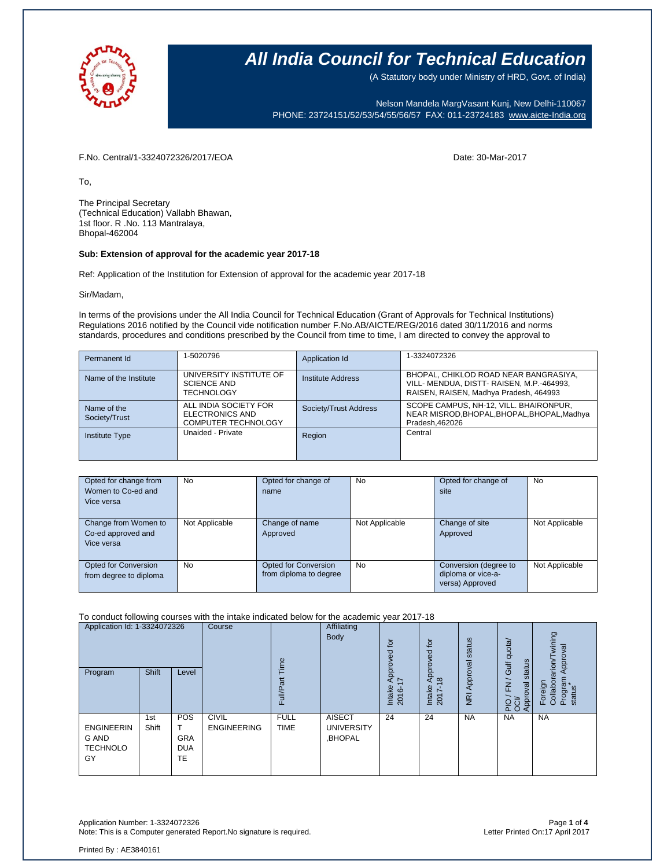

## **All India Council for Technical Education**

(A Statutory body under Ministry of HRD, Govt. of India)

Nelson Mandela MargVasant Kunj, New Delhi-110067 PHONE: 23724151/52/53/54/55/56/57 FAX: 011-23724183 [www.aicte-India.org](http://www.aicte-india.org/)

F.No. Central/1-3324072326/2017/EOA Date: 30-Mar-2017

To,

The Principal Secretary (Technical Education) Vallabh Bhawan, 1st floor. R .No. 113 Mantralaya, Bhopal-462004

### **Sub: Extension of approval for the academic year 2017-18**

Ref: Application of the Institution for Extension of approval for the academic year 2017-18

Sir/Madam,

In terms of the provisions under the All India Council for Technical Education (Grant of Approvals for Technical Institutions) Regulations 2016 notified by the Council vide notification number F.No.AB/AICTE/REG/2016 dated 30/11/2016 and norms standards, procedures and conditions prescribed by the Council from time to time, I am directed to convey the approval to

| Permanent Id                 | 1-5020796                                                              | Application Id        | 1-3324072326                                                                                                                 |
|------------------------------|------------------------------------------------------------------------|-----------------------|------------------------------------------------------------------------------------------------------------------------------|
| Name of the Institute        | UNIVERSITY INSTITUTE OF<br><b>SCIENCE AND</b><br><b>TECHNOLOGY</b>     | Institute Address     | BHOPAL, CHIKLOD ROAD NEAR BANGRASIYA,<br>VILL- MENDUA, DISTT- RAISEN, M.P.-464993,<br>RAISEN, RAISEN, Madhya Pradesh, 464993 |
| Name of the<br>Society/Trust | ALL INDIA SOCIETY FOR<br>ELECTRONICS AND<br><b>COMPUTER TECHNOLOGY</b> | Society/Trust Address | SCOPE CAMPUS, NH-12, VILL. BHAIRONPUR,<br>NEAR MISROD, BHOPAL, BHOPAL, BHOPAL, Madhya<br>Pradesh.462026                      |
| <b>Institute Type</b>        | Unaided - Private                                                      | Region                | Central                                                                                                                      |

| Opted for change from<br>Women to Co-ed and<br>Vice versa | No             | Opted for change of<br>name                           | <b>No</b>      | Opted for change of<br>site                                    | <b>No</b>      |
|-----------------------------------------------------------|----------------|-------------------------------------------------------|----------------|----------------------------------------------------------------|----------------|
| Change from Women to<br>Co-ed approved and<br>Vice versa  | Not Applicable | Change of name<br>Approved                            | Not Applicable | Change of site<br>Approved                                     | Not Applicable |
| Opted for Conversion<br>from degree to diploma            | No             | <b>Opted for Conversion</b><br>from diploma to degree | <b>No</b>      | Conversion (degree to<br>diploma or vice-a-<br>versa) Approved | Not Applicable |

#### To conduct following courses with the intake indicated below for the academic year 2017-18

| Application Id: 1-3324072326<br>Program                    | Shift        | Level                                 | Course                             | euil<br>Full/Part          | Affiliating<br>Body                           | tō<br>공<br>Approv<br>$\sim$<br>Intake<br>2016- | <u>ۃ</u><br>roved<br>ā<br>$\infty$<br>⋖<br>Intake<br>2017- | status<br>Approval<br>$\overline{R}$ | Gulf quota/<br>status<br>$\overline{\phantom{0}}$<br>$\overline{K}$<br>Approval<br>운영 | wining<br>Approval<br>arion<br>Program<br>Foreign<br>Collabor<br>status |
|------------------------------------------------------------|--------------|---------------------------------------|------------------------------------|----------------------------|-----------------------------------------------|------------------------------------------------|------------------------------------------------------------|--------------------------------------|---------------------------------------------------------------------------------------|-------------------------------------------------------------------------|
| <b>ENGINEERIN</b><br><b>G AND</b><br><b>TECHNOLO</b><br>GY | 1st<br>Shift | POS<br><b>GRA</b><br><b>DUA</b><br>TE | <b>CIVIL</b><br><b>ENGINEERING</b> | <b>FULL</b><br><b>TIME</b> | <b>AISECT</b><br><b>UNIVERSITY</b><br>,BHOPAL | 24                                             | 24                                                         | <b>NA</b>                            | <b>NA</b>                                                                             | <b>NA</b>                                                               |

Application Number: 1-3324072326<br>Note: This is a Computer generated Report.No signature is required.<br>Physical particles are also a computer generated Report.No signature is required. Note: This is a Computer generated Report. No signature is required.

Printed By : AE3840161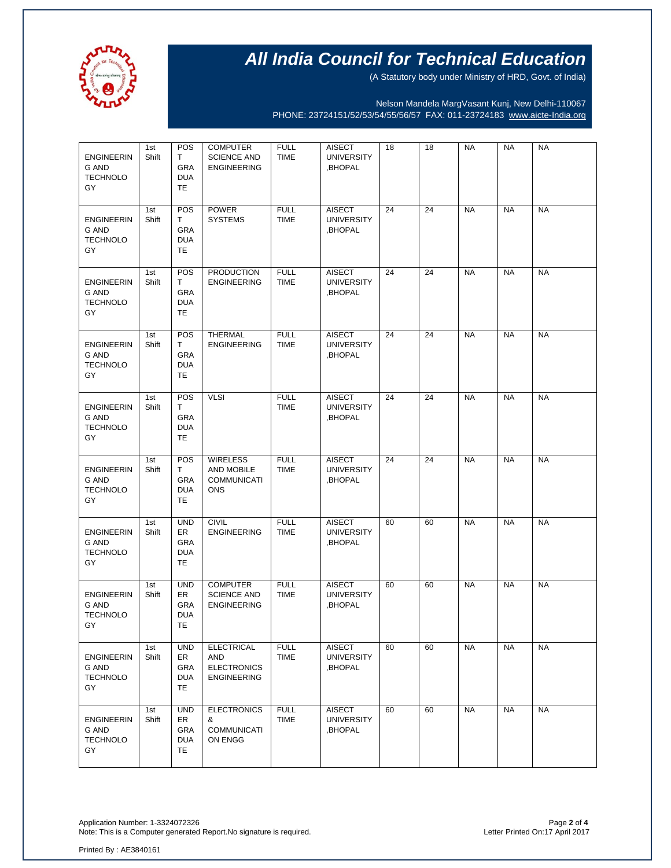

# **All India Council for Technical Education**

(A Statutory body under Ministry of HRD, Govt. of India)

Nelson Mandela MargVasant Kunj, New Delhi-110067 PHONE: 23724151/52/53/54/55/56/57 FAX: 011-23724183 [www.aicte-India.org](http://www.aicte-india.org/)

| <b>ENGINEERIN</b><br>G AND<br><b>TECHNOLO</b><br>GY        | 1st<br>Shift | <b>POS</b><br>T.<br><b>GRA</b><br><b>DUA</b><br>TE | <b>COMPUTER</b><br><b>SCIENCE AND</b><br><b>ENGINEERING</b>                 | <b>FULL</b><br><b>TIME</b> | <b>AISECT</b><br><b>UNIVERSITY</b><br>,BHOPAL | 18 | 18 | <b>NA</b> | <b>NA</b> | <b>NA</b> |
|------------------------------------------------------------|--------------|----------------------------------------------------|-----------------------------------------------------------------------------|----------------------------|-----------------------------------------------|----|----|-----------|-----------|-----------|
| <b>ENGINEERIN</b><br>G AND<br><b>TECHNOLO</b><br>GY        | 1st<br>Shift | POS<br>T<br>GRA<br><b>DUA</b><br>TE                | <b>POWER</b><br><b>SYSTEMS</b>                                              | <b>FULL</b><br><b>TIME</b> | <b>AISECT</b><br><b>UNIVERSITY</b><br>,BHOPAL | 24 | 24 | <b>NA</b> | <b>NA</b> | <b>NA</b> |
| <b>ENGINEERIN</b><br>G AND<br>TECHNOLO<br>GY               | 1st<br>Shift | <b>POS</b><br>T.<br>GRA<br><b>DUA</b><br>TE        | <b>PRODUCTION</b><br><b>ENGINEERING</b>                                     | <b>FULL</b><br><b>TIME</b> | <b>AISECT</b><br><b>UNIVERSITY</b><br>,BHOPAL | 24 | 24 | <b>NA</b> | <b>NA</b> | <b>NA</b> |
| <b>ENGINEERIN</b><br>G AND<br><b>TECHNOLO</b><br>GY        | 1st<br>Shift | POS<br>T<br>GRA<br><b>DUA</b><br>TE                | <b>THERMAL</b><br><b>ENGINEERING</b>                                        | <b>FULL</b><br><b>TIME</b> | <b>AISECT</b><br><b>UNIVERSITY</b><br>,BHOPAL | 24 | 24 | <b>NA</b> | <b>NA</b> | <b>NA</b> |
| <b>ENGINEERIN</b><br><b>G AND</b><br><b>TECHNOLO</b><br>GY | 1st<br>Shift | POS<br>T.<br>GRA<br><b>DUA</b><br>TE               | <b>VLSI</b>                                                                 | <b>FULL</b><br><b>TIME</b> | <b>AISECT</b><br><b>UNIVERSITY</b><br>,BHOPAL | 24 | 24 | <b>NA</b> | <b>NA</b> | <b>NA</b> |
| <b>ENGINEERIN</b><br><b>G AND</b><br><b>TECHNOLO</b><br>GY | 1st<br>Shift | POS<br>T<br>GRA<br><b>DUA</b><br>TE                | <b>WIRELESS</b><br>AND MOBILE<br><b>COMMUNICATI</b><br><b>ONS</b>           | <b>FULL</b><br><b>TIME</b> | <b>AISECT</b><br><b>UNIVERSITY</b><br>,BHOPAL | 24 | 24 | <b>NA</b> | <b>NA</b> | <b>NA</b> |
| <b>ENGINEERIN</b><br><b>G AND</b><br><b>TECHNOLO</b><br>GY | 1st<br>Shift | <b>UND</b><br><b>ER</b><br>GRA<br><b>DUA</b><br>TE | <b>CIVIL</b><br><b>ENGINEERING</b>                                          | <b>FULL</b><br><b>TIME</b> | <b>AISECT</b><br><b>UNIVERSITY</b><br>,BHOPAL | 60 | 60 | <b>NA</b> | <b>NA</b> | <b>NA</b> |
| <b>ENGINEERIN</b><br><b>G AND</b><br><b>TECHNOLO</b><br>GY | 1st<br>Shift | <b>UND</b><br>ER<br>GRA<br><b>DUA</b><br>TE        | <b>COMPUTER</b><br><b>SCIENCE AND</b><br><b>ENGINEERING</b>                 | <b>FULL</b><br><b>TIME</b> | <b>AISECT</b><br><b>UNIVERSITY</b><br>,BHOPAL | 60 | 60 | <b>NA</b> | <b>NA</b> | <b>NA</b> |
| <b>ENGINEERIN</b><br><b>G AND</b><br><b>TECHNOLO</b><br>GY | 1st<br>Shift | <b>UND</b><br>ER<br>GRA<br><b>DUA</b><br>TE        | <b>ELECTRICAL</b><br><b>AND</b><br><b>ELECTRONICS</b><br><b>ENGINEERING</b> | <b>FULL</b><br><b>TIME</b> | <b>AISECT</b><br><b>UNIVERSITY</b><br>BHOPAL, | 60 | 60 | <b>NA</b> | <b>NA</b> | <b>NA</b> |
| <b>ENGINEERIN</b><br>G AND<br><b>TECHNOLO</b><br>GY        | 1st<br>Shift | <b>UND</b><br>ER<br>GRA<br><b>DUA</b><br>TE.       | <b>ELECTRONICS</b><br>&<br><b>COMMUNICATI</b><br>ON ENGG                    | <b>FULL</b><br><b>TIME</b> | <b>AISECT</b><br><b>UNIVERSITY</b><br>,BHOPAL | 60 | 60 | <b>NA</b> | <b>NA</b> | <b>NA</b> |

Page 2 of 4<br>Page 2 of 4<br>Letter Printed On:17 April 2017 Note: This is a Computer generated Report.No signature is required.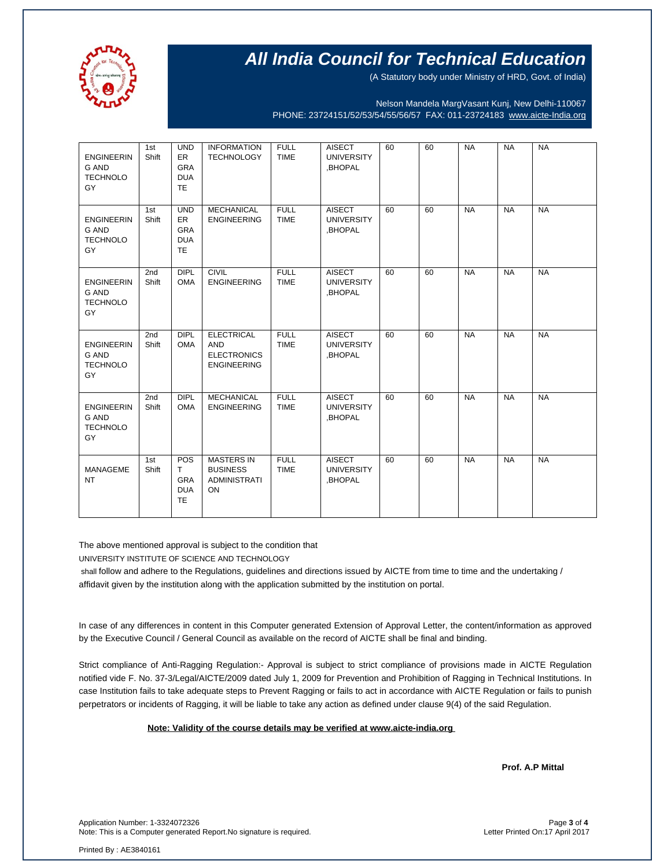

# **All India Council for Technical Education**

(A Statutory body under Ministry of HRD, Govt. of India)

Nelson Mandela MargVasant Kunj, New Delhi-110067 PHONE: 23724151/52/53/54/55/56/57 FAX: 011-23724183 [www.aicte-India.org](http://www.aicte-india.org/)

| <b>ENGINEERIN</b><br><b>G AND</b><br><b>TECHNOLO</b><br>GY | 1st<br>Shift | <b>UND</b><br>ER<br><b>GRA</b><br><b>DUA</b><br><b>TE</b> | <b>INFORMATION</b><br><b>TECHNOLOGY</b>                                     | <b>FULL</b><br><b>TIME</b> | <b>AISECT</b><br><b>UNIVERSITY</b><br>,BHOPAL | 60 | 60 | <b>NA</b> | <b>NA</b> | <b>NA</b> |
|------------------------------------------------------------|--------------|-----------------------------------------------------------|-----------------------------------------------------------------------------|----------------------------|-----------------------------------------------|----|----|-----------|-----------|-----------|
| <b>ENGINEERIN</b><br><b>G AND</b><br><b>TECHNOLO</b><br>GY | 1st<br>Shift | <b>UND</b><br>ER<br><b>GRA</b><br><b>DUA</b><br><b>TE</b> | <b>MECHANICAL</b><br><b>ENGINEERING</b>                                     | <b>FULL</b><br><b>TIME</b> | <b>AISECT</b><br><b>UNIVERSITY</b><br>,BHOPAL | 60 | 60 | <b>NA</b> | <b>NA</b> | <b>NA</b> |
| <b>ENGINEERIN</b><br><b>G AND</b><br><b>TECHNOLO</b><br>GY | 2nd<br>Shift | <b>DIPL</b><br><b>OMA</b>                                 | <b>CIVIL</b><br><b>ENGINEERING</b>                                          | <b>FULL</b><br><b>TIME</b> | <b>AISECT</b><br><b>UNIVERSITY</b><br>,BHOPAL | 60 | 60 | <b>NA</b> | <b>NA</b> | <b>NA</b> |
| <b>ENGINEERIN</b><br><b>G AND</b><br><b>TECHNOLO</b><br>GY | 2nd<br>Shift | <b>DIPL</b><br><b>OMA</b>                                 | <b>ELECTRICAL</b><br><b>AND</b><br><b>ELECTRONICS</b><br><b>ENGINEERING</b> | <b>FULL</b><br><b>TIME</b> | <b>AISECT</b><br><b>UNIVERSITY</b><br>.BHOPAL | 60 | 60 | <b>NA</b> | <b>NA</b> | <b>NA</b> |
| <b>ENGINEERIN</b><br><b>G AND</b><br><b>TECHNOLO</b><br>GY | 2nd<br>Shift | DIPL<br><b>OMA</b>                                        | <b>MECHANICAL</b><br><b>ENGINEERING</b>                                     | <b>FULL</b><br><b>TIME</b> | <b>AISECT</b><br><b>UNIVERSITY</b><br>,BHOPAL | 60 | 60 | <b>NA</b> | <b>NA</b> | <b>NA</b> |
| <b>MANAGEME</b><br><b>NT</b>                               | 1st<br>Shift | <b>POS</b><br>т<br><b>GRA</b><br><b>DUA</b><br><b>TE</b>  | <b>MASTERS IN</b><br><b>BUSINESS</b><br><b>ADMINISTRATI</b><br>ON           | <b>FULL</b><br><b>TIME</b> | <b>AISECT</b><br><b>UNIVERSITY</b><br>,BHOPAL | 60 | 60 | <b>NA</b> | <b>NA</b> | <b>NA</b> |

The above mentioned approval is subject to the condition that

UNIVERSITY INSTITUTE OF SCIENCE AND TECHNOLOGY

shall follow and adhere to the Regulations, guidelines and directions issued by AICTE from time to time and the undertaking / affidavit given by the institution along with the application submitted by the institution on portal.

In case of any differences in content in this Computer generated Extension of Approval Letter, the content/information as approved by the Executive Council / General Council as available on the record of AICTE shall be final and binding.

Strict compliance of Anti-Ragging Regulation:- Approval is subject to strict compliance of provisions made in AICTE Regulation notified vide F. No. 37-3/Legal/AICTE/2009 dated July 1, 2009 for Prevention and Prohibition of Ragging in Technical Institutions. In case Institution fails to take adequate steps to Prevent Ragging or fails to act in accordance with AICTE Regulation or fails to punish perpetrators or incidents of Ragging, it will be liable to take any action as defined under clause 9(4) of the said Regulation.

### **Note: Validity of the course details may be verified at www.aicte-india.org**

**Prof. A.P Mittal** 

Application Number: 1-3324072326<br>Note: This is a Computer generated Report.No signature is required.<br>Letter Printed On:17 April 2017 Note: This is a Computer generated Report.No signature is required.